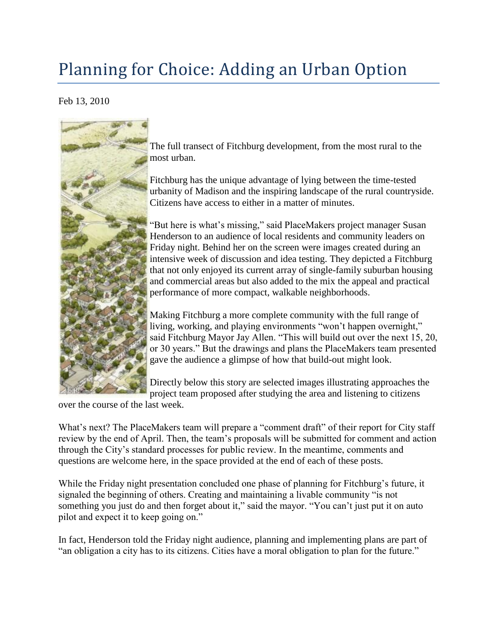## Planning for Choice: Adding an Urban Option

Feb 13, 2010



[T](http://www.fitchburgzoning.com/wp-content/uploads/2010/02/FitchburgTransectIllust.jpg)he full transect of Fitchburg development, from the most rural to the most urban.

Fitchburg has the unique advantage of lying between the time-tested urbanity of Madison and the inspiring landscape of the rural countryside. Citizens have access to either in a matter of minutes.

"But here is what's missing," said PlaceMakers project manager Susan Henderson to an audience of local residents and community leaders on Friday night. Behind her on the screen were images created during an intensive week of discussion and idea testing. They depicted a Fitchburg that not only enjoyed its current array of single-family suburban housing and commercial areas but also added to the mix the appeal and practical performance of more compact, walkable neighborhoods.

Making Fitchburg a more complete community with the full range of living, working, and playing environments "won't happen overnight," said Fitchburg Mayor Jay Allen. "This will build out over the next 15, 20, or 30 years." But the drawings and plans the PlaceMakers team presented gave the audience a glimpse of how that build-out might look.

Directly below this story are selected images illustrating approaches the project team proposed after studying the area and listening to citizens

over the course of the last week.

What's next? The PlaceMakers team will prepare a "comment draft" of their report for City staff review by the end of April. Then, the team's proposals will be submitted for comment and action through the City's standard processes for public review. In the meantime, comments and questions are welcome here, in the space provided at the end of each of these posts.

While the Friday night presentation concluded one phase of planning for Fitchburg's future, it signaled the beginning of others. Creating and maintaining a livable community "is not something you just do and then forget about it," said the mayor. "You can't just put it on auto pilot and expect it to keep going on."

In fact, Henderson told the Friday night audience, planning and implementing plans are part of "an obligation a city has to its citizens. Cities have a moral obligation to plan for the future."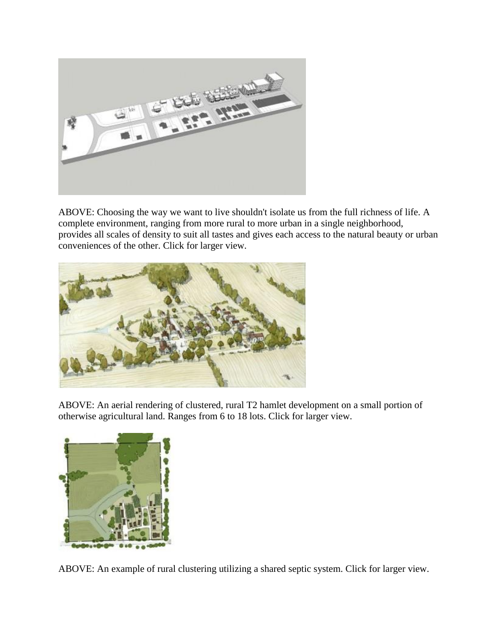

ABOVE: Choosing the way we want to live shouldn't isolate us from the full richness of life. A complete environment, ranging from more rural to more urban in a single neighborhood, provides all scales of density to suit all tastes and gives each access to the natural beauty or urban conveniences of the other. Click for larger view.



ABOVE: An aerial rendering of clustered, rural T2 hamlet development on a small portion of otherwise agricultural land. Ranges from 6 to 18 lots. Click for larger view.



ABOVE: An example of rural clustering utilizing a shared septic system. Click for larger view.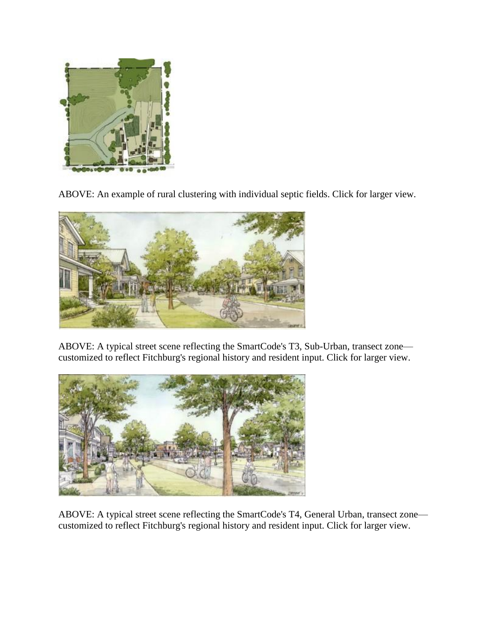

ABOVE: An example of rural clustering with individual septic fields. Click for larger view.



ABOVE: A typical street scene reflecting the SmartCode's T3, Sub-Urban, transect zone customized to reflect Fitchburg's regional history and resident input. Click for larger view.



ABOVE: A typical street scene reflecting the SmartCode's T4, General Urban, transect zone customized to reflect Fitchburg's regional history and resident input. Click for larger view.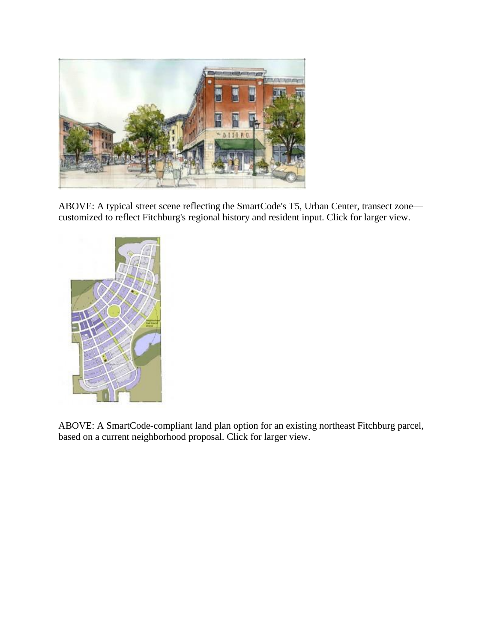

ABOVE: A typical street scene reflecting the SmartCode's T5, Urban Center, transect zone customized to reflect Fitchburg's regional history and resident input. Click for larger view.



ABOVE: A SmartCode-compliant land plan option for an existing northeast Fitchburg parcel, based on a current neighborhood proposal. Click for larger view.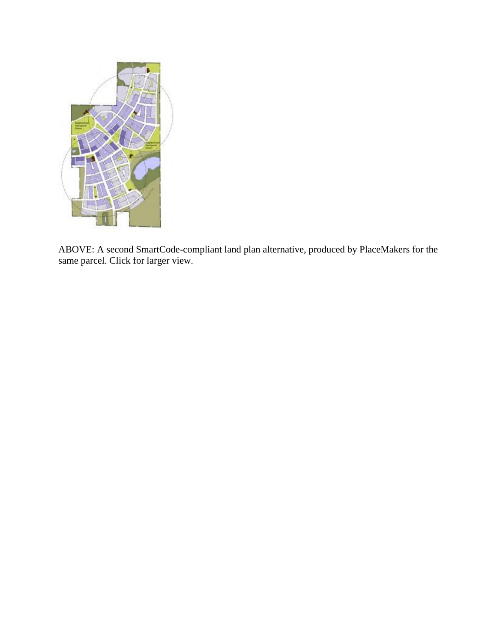

ABOVE: A second SmartCode-compliant land plan alternative, produced by PlaceMakers for the same parcel. Click for larger view.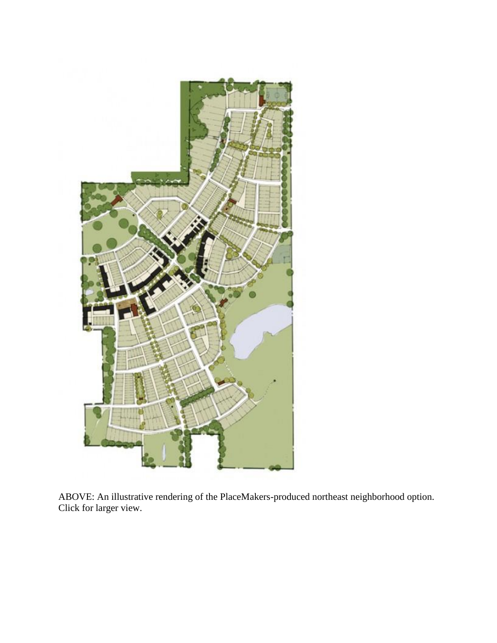

ABOVE: An illustrative rendering of the PlaceMakers-produced northeast neighborhood option. Click for larger view.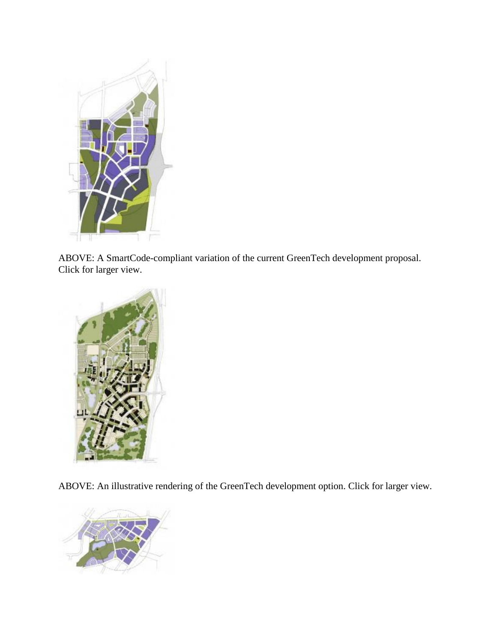

ABOVE: A SmartCode-compliant variation of the current GreenTech development proposal. Click for larger view.



ABOVE: An illustrative rendering of the GreenTech development option. Click for larger view.